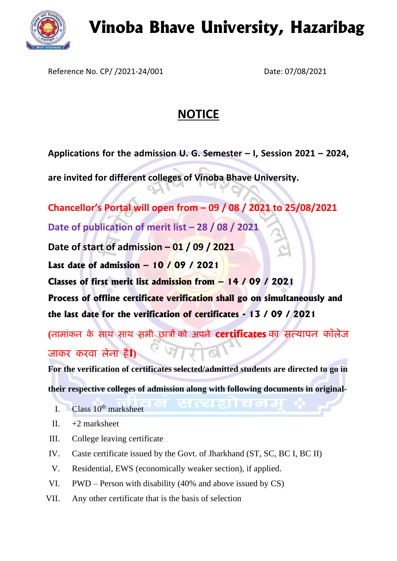

## **Vinoba Bhave University, Hazaribag**

Reference No. CP/ /2021-24/001 Date: 07/08/2021

## **NOTICE**

**Applications for the admission U. G. Semester – I, Session 2021 – 2024,**

**are invited for different colleges of Vinoba Bhave University.**

**Chancellor's Portal will open from – 09 / 08 / 2021 to 25/08/2021 Date of publication of merit list – 28 / 08 / 2021 Date of start of admission – 01 / 09 / 2021 Last date of admission – 10 / 09 / 2021 Classes of first merit list admission from – 14 / 09 / 2021 Process of offline certificate verification shall go on simultaneously and the last date for the verification of certificates - 13 / 09 / 2021**

**(नामाांकन के साथ साथ सभी छात्रों को अपने certificates का सत्यापन कॉलेज जाकर करवा लेना हैI)**

**For the verification of certificates selected/admitted students are directed to go in** 

**their respective colleges of admission along with following documents in original-**

- I.  $\blacksquare$  Class 10<sup>th</sup> marksheet
- II.  $+2$  marksheet
- III. College leaving certificate
- IV. Caste certificate issued by the Govt. of Jharkhand (ST, SC, BC I, BC II)
- V. Residential, EWS (economically weaker section), if applied.
- VI. PWD Person with disability (40% and above issued by CS)
- VII. Any other certificate that is the basis of selection